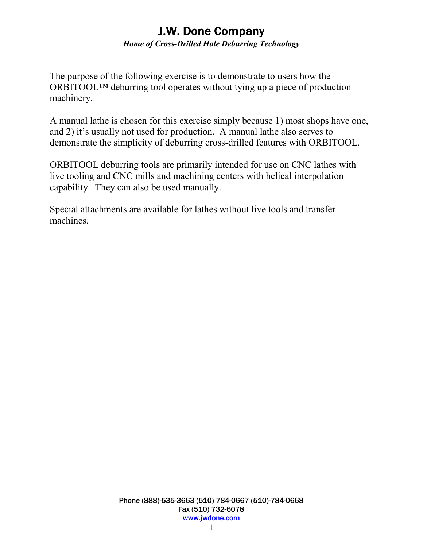### **J.W. Done Company** *Home of Cross-Drilled Hole Deburring Technology*

The purpose of the following exercise is to demonstrate to users how the ORBITOOL™ deburring tool operates without tying up a piece of production machinery.

A manual lathe is chosen for this exercise simply because 1) most shops have one, and 2) it's usually not used for production. A manual lathe also serves to demonstrate the simplicity of deburring cross-drilled features with ORBITOOL.

ORBITOOL deburring tools are primarily intended for use on CNC lathes with live tooling and CNC mills and machining centers with helical interpolation capability. They can also be used manually.

Special attachments are available for lathes without live tools and transfer machines.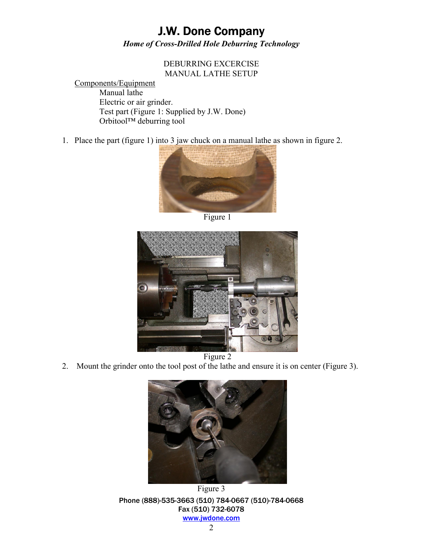### **J.W. Done Company** *Home of Cross-Drilled Hole Deburring Technology*

#### DEBURRING EXCERCISE MANUAL LATHE SETUP

Components/Equipment Manual lathe Electric or air grinder. Test part (Figure 1: Supplied by J.W. Done)  $Orbitool^{TM}$  deburring tool

1. Place the part (figure 1) into 3 jaw chuck on a manual lathe as shown in figure 2.



Figure 1



2. Mount the grinder onto the tool post of the lathe and ensure it is on center (Figure 3).



Phone (888)-535-3663 (510) 784-0667 (510)-784-0668 Fax (510) 732-6078 www.jwdone.com Figure 3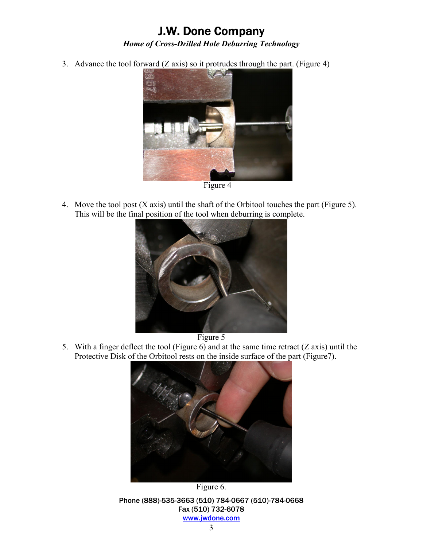## **J.W. Done Company** *Home of Cross-Drilled Hole Deburring Technology*

3. Advance the tool forward (Z axis) so it protrudes through the part. (Figure 4)



Figure 4

4. Move the tool post (X axis) until the shaft of the Orbitool touches the part (Figure 5). This will be the final position of the tool when deburring is complete.



Figure 5

5. With a finger deflect the tool (Figure 6) and at the same time retract (Z axis) until the Protective Disk of the Orbitool rests on the inside surface of the part (Figure7).



Figure 6.

Phone (888)-535-3663 (510) 784-0667 (510)-784-0668 Fax (510) 732-6078 www.jwdone.com